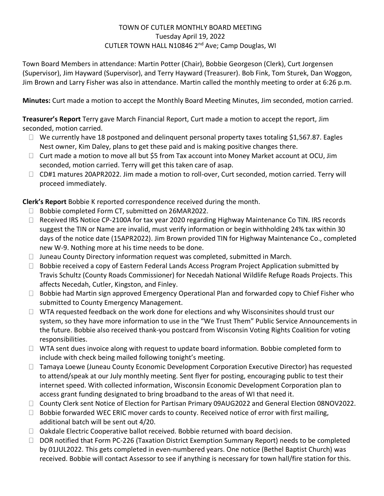### TOWN OF CUTLER MONTHLY BOARD MEETING Tuesday April 19, 2022 CUTLER TOWN HALL N10846 2nd Ave; Camp Douglas, WI

Town Board Members in attendance: Martin Potter (Chair), Bobbie Georgeson (Clerk), Curt Jorgensen (Supervisor), Jim Hayward (Supervisor), and Terry Hayward (Treasurer). Bob Fink, Tom Sturek, Dan Woggon, Jim Brown and Larry Fisher was also in attendance. Martin called the monthly meeting to order at 6:26 p.m.

**Minutes:** Curt made a motion to accept the Monthly Board Meeting Minutes, Jim seconded, motion carried.

**Treasurer's Report** Terry gave March Financial Report, Curt made a motion to accept the report, Jim seconded, motion carried.

- $\Box$  We currently have 18 postponed and delinquent personal property taxes totaling \$1,567.87. Eagles Nest owner, Kim Daley, plans to get these paid and is making positive changes there.
- $\Box$  Curt made a motion to move all but \$5 from Tax account into Money Market account at OCU, Jim seconded, motion carried. Terry will get this taken care of asap.
- □ CD#1 matures 20APR2022. Jim made a motion to roll-over, Curt seconded, motion carried. Terry will proceed immediately.

**Cl Clerk's Report** Bobbie K reported correspondence received during the month.

- □ Bobbie completed Form CT, submitted on 26MAR2022.
- □ Received IRS Notice CP-2100A for tax year 2020 regarding Highway Maintenance Co TIN. IRS records suggest the TIN or Name are invalid, must verify information or begin withholding 24% tax within 30 days of the notice date (15APR2022). Jim Brown provided TIN for Highway Maintenance Co., completed new W-9. Nothing more at his time needs to be done.
- $\Box$  Juneau County Directory information request was completed, submitted in March.
- $\Box$  Bobbie received a copy of Eastern Federal Lands Access Program Project Application submitted by Travis Schultz (County Roads Commissioner) for Necedah National Wildlife Refuge Roads Projects. This affects Necedah, Cutler, Kingston, and Finley.
- $\Box$  Bobbie had Martin sign approved Emergency Operational Plan and forwarded copy to Chief Fisher who submitted to County Emergency Management.
- $\Box$  WTA requested feedback on the work done for elections and why Wisconsinites should trust our system, so they have more information to use in the "We Trust Them" Public Service Announcements in the future. Bobbie also received thank-you postcard from Wisconsin Voting Rights Coalition for voting responsibilities.
- $\Box$  WTA sent dues invoice along with request to update board information. Bobbie completed form to include with check being mailed following tonight's meeting.
- $\Box$  Tamaya Loewe (Juneau County Economic Development Corporation Executive Director) has requested to attend/speak at our July monthly meeting. Sent flyer for posting, encouraging public to test their internet speed. With collected information, Wisconsin Economic Development Corporation plan to access grant funding designated to bring broadband to the areas of WI that need it.
- County Clerk sent Notice of Election for Partisan Primary 09AUG2022 and General Election 08NOV2022.
- $\Box$  Bobbie forwarded WEC ERIC mover cards to county. Received notice of error with first mailing, additional batch will be sent out 4/20.
- $\Box$  Oakdale Electric Cooperative ballot received. Bobbie returned with board decision.
- $\Box$  DOR notified that Form PC-226 (Taxation District Exemption Summary Report) needs to be completed by 01JUL2022. This gets completed in even-numbered years. One notice (Bethel Baptist Church) was received. Bobbie will contact Assessor to see if anything is necessary for town hall/fire station for this.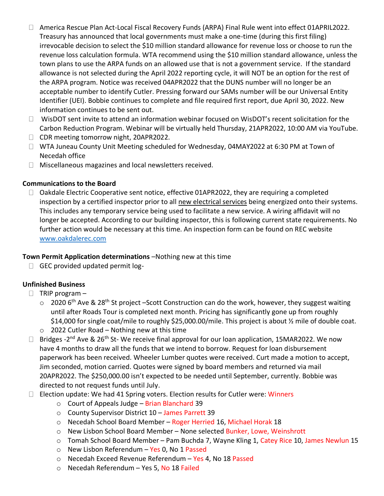- America Rescue Plan Act-Local Fiscal Recovery Funds (ARPA) Final Rule went into effect 01APRIL2022. Treasury has announced that local governments must make a one-time (during this first filing) irrevocable decision to select the \$10 million standard allowance for revenue loss or choose to run the revenue loss calculation formula. WTA recommend using the \$10 million standard allowance, unless the town plans to use the ARPA funds on an allowed use that is not a government service. If the standard allowance is not selected during the April 2022 reporting cycle, it will NOT be an option for the rest of the ARPA program. Notice was received 04APR2022 that the DUNS number will no longer be an acceptable number to identify Cutler. Pressing forward our SAMs number will be our Universal Entity Identifier (UEI). Bobbie continues to complete and file required first report, due April 30, 2022. New information continues to be sent out.
- $\Box$  WisDOT sent invite to attend an information webinar focused on WisDOT's recent solicitation for the Carbon Reduction Program. Webinar will be virtually held Thursday, 21APR2022, 10:00 AM via YouTube.
- □ CDR meeting tomorrow night, 20APR2022.
- □ WTA Juneau County Unit Meeting scheduled for Wednesday, 04MAY2022 at 6:30 PM at Town of Necedah office
- Miscellaneous magazines and local newsletters received.

### **Communications to the Board**

 $\Box$  Oakdale Electric Cooperative sent notice, effective 01APR2022, they are requiring a completed inspection by a certified inspector prior to all new electrical services being energized onto their systems. This includes any temporary service being used to facilitate a new service. A wiring affidavit will no longer be accepted. According to our building inspector, this is following current state requirements. No further action would be necessary at this time. An inspection form can be found on REC website [www.oakdalerec.com](http://www.oakdalerec.com/)

# **Town Permit Application determinations** –Nothing new at this time

 $\Box$  GEC provided updated permit log-

# **Unfinished Business**

- $\Box$  TRIP program
	- $\circ$  2020 6<sup>th</sup> Ave & 28<sup>th</sup> St project –Scott Construction can do the work, however, they suggest waiting until after Roads Tour is completed next month. Pricing has significantly gone up from roughly \$14,000 for single coat/mile to roughly \$25,000.00/mile. This project is about ½ mile of double coat.
	- o 2022 Cutler Road Nothing new at this time
- Bridges -2<sup>nd</sup> Ave & 26<sup>th</sup> St-We receive final approval for our loan application, 15MAR2022. We now have 4 months to draw all the funds that we intend to borrow. Request for loan disbursement paperwork has been received. Wheeler Lumber quotes were received. Curt made a motion to accept, Jim seconded, motion carried. Quotes were signed by board members and returned via mail 20APR2022. The \$250,000.00 isn't expected to be needed until September, currently. Bobbie was directed to not request funds until July.
- $\Box$  Election update: We had 41 Spring voters. Election results for Cutler were: Winners
	- o Court of Appeals Judge Brian Blanchard 39
	- o County Supervisor District 10 James Parrett 39
	- o Necedah School Board Member Roger Herried 16, Michael Horak 18
	- o New Lisbon School Board Member None selected Bunker, Lowe, Weinshrott
	- o Tomah School Board Member Pam Buchda 7, Wayne Kling 1, Catey Rice 10, James Newlun 15
	- o New Lisbon Referendum Yes 0, No 1 Passed
	- o Necedah Exceed Revenue Referendum Yes 4, No 18 Passed
	- o Necedah Referendum Yes 5, No 18 Failed